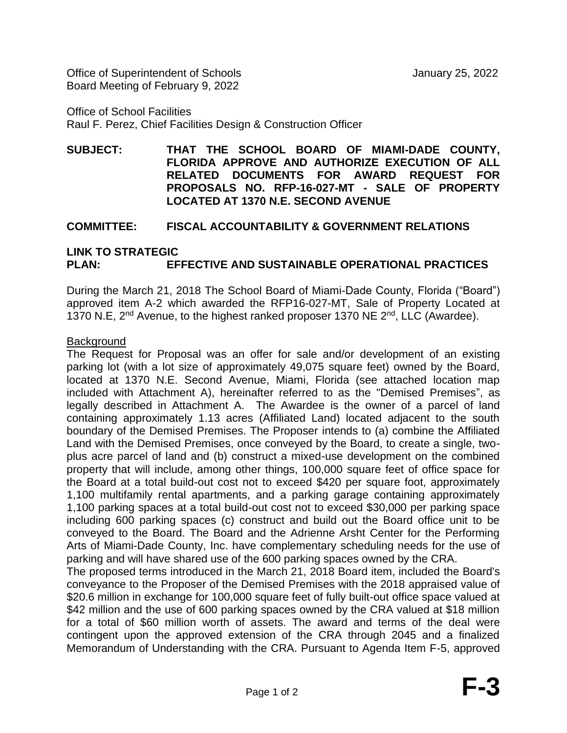Office of Superintendent of Schools January 25, 2022 Board Meeting of February 9, 2022

Office of School Facilities Raul F. Perez, Chief Facilities Design & Construction Officer

**SUBJECT: THAT THE SCHOOL BOARD OF MIAMI-DADE COUNTY, FLORIDA APPROVE AND AUTHORIZE EXECUTION OF ALL RELATED DOCUMENTS FOR AWARD REQUEST FOR PROPOSALS NO. RFP-16-027-MT - SALE OF PROPERTY LOCATED AT 1370 N.E. SECOND AVENUE**

# **COMMITTEE: FISCAL ACCOUNTABILITY & GOVERNMENT RELATIONS**

# **LINK TO STRATEGIC PLAN: EFFECTIVE AND SUSTAINABLE OPERATIONAL PRACTICES**

During the March 21, 2018 The School Board of Miami-Dade County, Florida ("Board") approved item A-2 which awarded the RFP16-027-MT, Sale of Property Located at 1370 N.E, 2<sup>nd</sup> Avenue, to the highest ranked proposer 1370 NE 2<sup>nd</sup>, LLC (Awardee).

## Background

The Request for Proposal was an offer for sale and/or development of an existing parking lot (with a lot size of approximately 49,075 square feet) owned by the Board, located at 1370 N.E. Second Avenue, Miami, Florida (see attached location map included with Attachment A), hereinafter referred to as the "Demised Premises", as legally described in Attachment A. The Awardee is the owner of a parcel of land containing approximately 1.13 acres (Affiliated Land) located adjacent to the south boundary of the Demised Premises. The Proposer intends to (a) combine the Affiliated Land with the Demised Premises, once conveyed by the Board, to create a single, twoplus acre parcel of land and (b) construct a mixed-use development on the combined property that will include, among other things, 100,000 square feet of office space for the Board at a total build-out cost not to exceed \$420 per square foot, approximately 1,100 multifamily rental apartments, and a parking garage containing approximately 1,100 parking spaces at a total build-out cost not to exceed \$30,000 per parking space including 600 parking spaces (c) construct and build out the Board office unit to be conveyed to the Board. The Board and the Adrienne Arsht Center for the Performing Arts of Miami-Dade County, Inc. have complementary scheduling needs for the use of parking and will have shared use of the 600 parking spaces owned by the CRA.

The proposed terms introduced in the March 21, 2018 Board item, included the Board's conveyance to the Proposer of the Demised Premises with the 2018 appraised value of \$20.6 million in exchange for 100,000 square feet of fully built-out office space valued at \$42 million and the use of 600 parking spaces owned by the CRA valued at \$18 million for a total of \$60 million worth of assets. The award and terms of the deal were contingent upon the approved extension of the CRA through 2045 and a finalized Memorandum of Understanding with the CRA. Pursuant to Agenda Item F-5, approved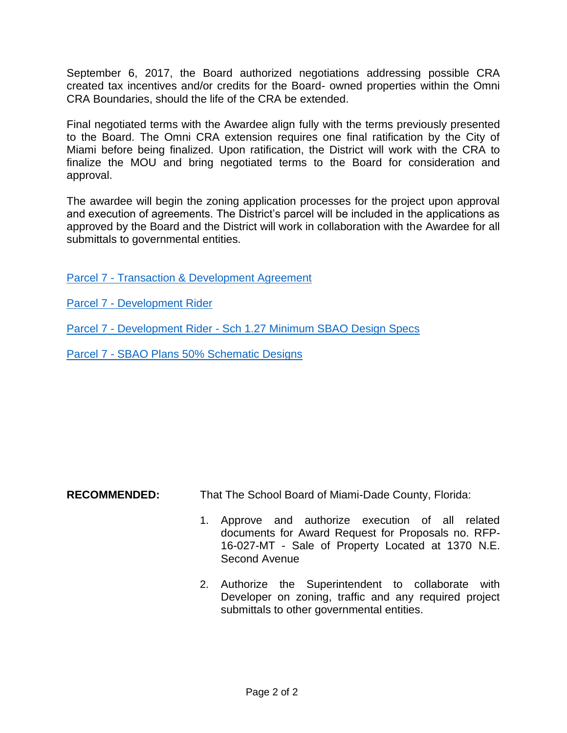September 6, 2017, the Board authorized negotiations addressing possible CRA created tax incentives and/or credits for the Board- owned properties within the Omni CRA Boundaries, should the life of the CRA be extended.

Final negotiated terms with the Awardee align fully with the terms previously presented to the Board. The Omni CRA extension requires one final ratification by the City of Miami before being finalized. Upon ratification, the District will work with the CRA to finalize the MOU and bring negotiated terms to the Board for consideration and approval.

The awardee will begin the zoning application processes for the project upon approval and execution of agreements. The District's parcel will be included in the applications as approved by the Board and the District will work in collaboration with the Awardee for all submittals to governmental entities.

Parcel 7 - [Transaction & Development Agreement](http://attachmentmanagerfiles.dadeschools.net/getFile.ashx?id=hQCo6d6r4txoh4izlUYZOqz4RaoOhP42x9Cer1xU6b5rn~!8ikBdaeNBtVFqRqX/~!oufDlIoPgmb2Nkp0GiZzZ33ljY1iSezBS7xeFgr82JtwIzypE16kxoqpF8SKGnGWs6pRtjrOJioqZTsIqRSoiA==&app=AttachmentManager)

Parcel 7 - [Development Rider](http://attachmentmanagerfiles.dadeschools.net/getFile.ashx?id=aejT1iTsl58LsSH6RZXDBPvfIsX9o5eEJPk/xdEaRwcp8mzMwLGjfafWALtyHA0n6AELxt5hTAlKP~!H4eXCNOdtujMLMnCb95U2T967NwHWVxpsStbyYhw==&app=AttachmentManager)

Parcel 7 - Development Rider - [Sch 1.27 Minimum SBAO Design Specs](http://attachmentmanagerfiles.dadeschools.net/getFile.ashx?id=aejT1iTsl5/lZU4yco/060WvN4Iar7qPiNbvnNJmLE7tdek/L1OzrqvrIUkaEBv63B~!5~!qRpNxIfudZpkOaNm2ZxGXdmvCgduq6e0dw4ZJMFXnlQvWnqeL/vZsr64Tz1iQMgXwQ9uNw=&app=AttachmentManager)

Parcel 7 - [SBAO Plans 50% Schematic Designs](http://attachmentmanagerfiles.dadeschools.net/getFile.ashx?id=DArLnpACTTyPx7~!crTE0FQ5sX9nGFIeO20sVAXCwVqk8oSP~!tyGCzomB5aYwZMkNQmIBXsv2mTdbOBCqo8cvffqQ9lNQbi8t71zChUCaJGw=&app=AttachmentManager)

**RECOMMENDED:** That The School Board of Miami-Dade County, Florida:

- 1. Approve and authorize execution of all related documents for Award Request for Proposals no. RFP-16-027-MT - Sale of Property Located at 1370 N.E. Second Avenue
- 2. Authorize the Superintendent to collaborate with Developer on zoning, traffic and any required project submittals to other governmental entities.